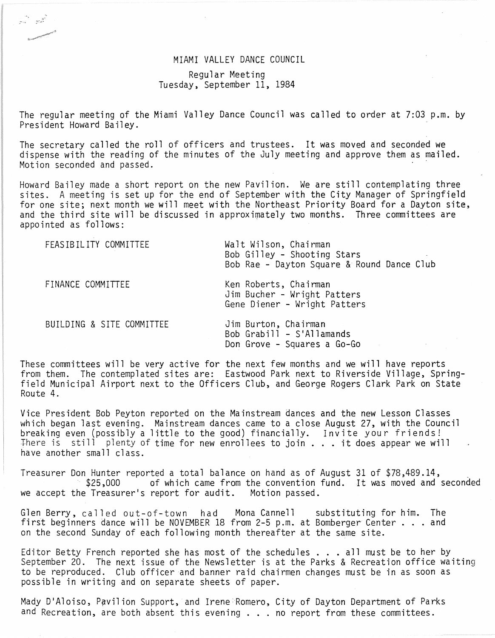## MIAMI VALLEY DANCE COUNCIL

## Regular Meeting Tuesday, September 11, 1984

The regular meeting of the Miami Valley Dance Council was called to order at 7:03 p.m. by President Howard Bailey.

The secretary called the roll of officers and trustees. It was moved and seconded we dispense with the reading of the minutes of the July meeting and approve them as mailed. Motion seconded and passed.

Howard Bailey made a short report on the new Pavilion. We are still contemplating three sites. A meeting is set up for the end of September with the City Manager of Springfield for one site; next month we will meet with the Northeast Priority Board for a Dayton site, and the third site will be discussed in approximately two months. Three committees are appointed as follows:

| FEASIBILITY COMMITTEE     | Walt Wilson, Chairman<br>Bob Gilley - Shooting Stars<br>Bob Rae - Dayton Square & Round Dance Club |
|---------------------------|----------------------------------------------------------------------------------------------------|
| FINANCE COMMITTEE         | Ken Roberts, Chairman<br>Jim Bucher - Wright Patters<br>Gene Diener - Wright Patters               |
| BUILDING & SITE COMMITTEE | Jim Burton, Chairman<br>Bob Grabill - S'Allamands<br>Don Grove - Squares a Go-Go                   |

These committees will be very active for the next few months and we will have reports from them. The contemplated sites are: Eastwood Park next to Riverside Village, Springfield Municipal Airport next to the Officers Club, and George Rogers Clark Park on State Route 4.

Vice President Bob Peyton reported on the Mainstream dances and the new Lesson Classes which began last evening. Mainstream dances came to a close August 27, with the Council breaking even (possibly a little to the good) financially. Invite your friends!<br>There is still plenty of time for new enrollees to join ... it does appear we will have another small class.

Treasurer Don Hunter reported a total balance on hand as of August 31 of \$78,489.14, of which came from the convention fund. It was moved and seconded we accept the Treasurer's report for audit. Motion passed.

Glen Berry, called out-of-town had Mona Cannell substituting for him. The first beginners dance will be NOVEMBER 18 from 2-5 p.m. at Bomberger Center  $\ldots$  and on the second Sunday of each following month thereafter at the same site.

Editor Betty French reported she has most of the schedules . . . all must be to her by<br>September 20. The next issue of the Newsletter is at the Parks & Recreation office waiting to be reproduced. Club officer and banner raid chairmen changes must be in as soon as possible in writing and on separate sheets of paper.

Mady D'Aloiso, Pavilion Support, and Irene Romero, City of Dayton Department of Parks and Recreation, are both absent this evening ... no report from these committees.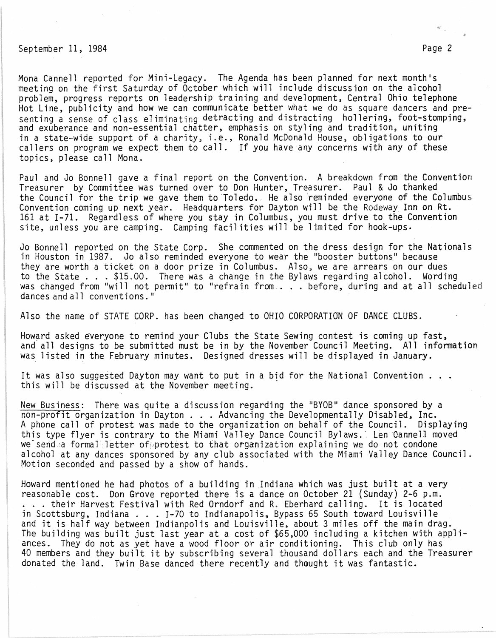## September 11, 1984 Page 2

Mona Cannell reported for Mini-Legacy. The Agenda has been planned for next month's meeting on the first Saturday of October which will include discussion on the alcohol problem, progress reports on leadership training and development, Central Ohio telephone Hot Line, publicity and how we can communicate better what we do as square dancers and presenting a sense of class eliminating detracting and distracting hollering, foot-stomping,<br>and exuberance and non-essential chatter, emphasis on styling and tradition, uniting in a state-wide support of a charity, i.e., Ronald McDonald House, obligations to our callers on program we expect them to call. If you have any concerns with any of these topics, please call Mona.

Paul and Jo Bonnell gave a final report on the Convention. A breakdown from the Convention Treasurer by Committee was turned over to Don Hunter, Treasurer. Paul & Jo thanked the Council for the trip we gave them to Toledo. He also reminded everyone of the Columbus Convention coming up next year. Headquarters for Dayton will be the Rodeway Inn on Rt. 161 at 1-71. Regardless of where you stay in Columbus, you must drive to the Convention site, unless you are camping. Camping facil ities will be limited for hook-ups.

Jo Bonnell reported on the State Corp. She commented on the dress design for the Nationals in Houston in 1987. Jo also reminded everyone to wear the "booster buttons" because they are worth a ticket on a door prize in Columbus. Also, we are arrears on our dues they are worth a ticket on a door prize in Columbus. Also, we are arrears on our dues<br>to the State . . . \$15.00. There was a change in the Bylaws regarding alcohol. Wording to the State . . . \$15.00. There was a change in the Bylaws regarding alcohol. Wording<br>was changed from "will not permit" to "refrain from . . . before, during and at all scheduled was changed from "will not permit" to "refrain from.... before, during and at all scheduled dances and all conventions."

Also the name of STATE CORP. has been changed to OHIO CORPORATION OF DANCE CLUBS.

Howard asked everyone to remind your Clubs the State Sewing contest is coming up fast, and all designs to be submitted must be in by the November Council Meeting. All information was listed in the February minutes. Designed dresses will be displayed in January.

It was also suggested Dayton may want to put in a bid for the National Convention . . . this will be discussed at the November meeting. .

New Business: There was quite a discussion regarding the "BYOB" dance sponsored by a non-profit organization in Dayton ... Advancing the Developmentally Disabled, Inc. A phone call of protest was made to the organization on behalf of the Council. Displaying this type flyer is contrary to the Miami Valley Dance Council Bylaws. Len Cannell moved we sendea formal letter of protest to that organization explaining we do not condone alcohol at any dances sponsored by any club associated with the Miami Valley Dance Council. Motion seconded and passed by a show of hands.

Howard mentioned he had photos of a building in Indiana which was just built at a very<br>reasonable cost. Don Grove reported there is a dance on October 21 (Sunday) 2-6 p.m. reasonable cost. Don Grove reported there is a dance on October 21 (Sunday) 2-6 p.m.<br>. . . their Harvest Festival with Red Orndorf and R. Eberhard calling. It is located in Scottsburg, Indiana ... I-70 to Indianapolis, Bypass 65 South toward Louisville<br>in Scottsburg, Indiana ... I-70 to Indianapolis, Bypass 65 South toward Louisville in Scottsburg, Indiana . . . I-70 to Indianapolis, Bypass 65 South toward Louisville<br>and it is half way between Indianpolis and Louisville, about 3 miles off the main drag. The building was built just last year at a cost of \$65,000 including a kitchen with appliances. They do not as yet have a wood floor or air conditioning. This club only has 40 members and they built it by subscribing several thousand dollars each and the Treasurer donated the land. Twin Base danced there recently and thought it was fantastic.

 $\mathcal{A}_{\mathcal{A}}^{(n)}$  ,  $\mathcal{A}_{\mathcal{A}}^{(n)}$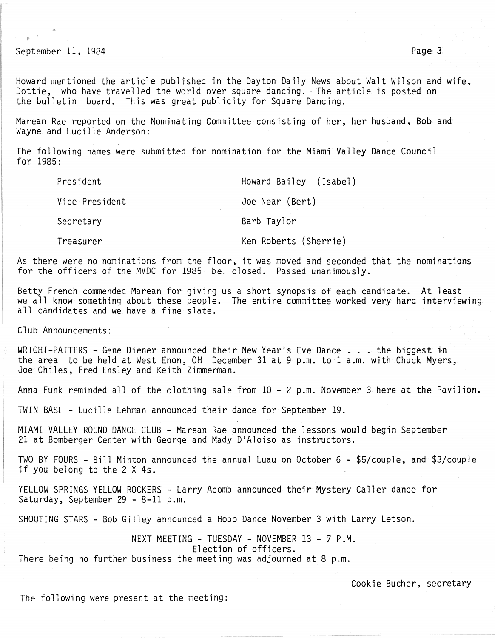September 11, 1984 **Page 3** 

Howard mentioned the article published in the Dayton Daily News about Walt Wilson and wife, Dottie, who have travelled the world over square dancing. The article is posted on the bulletin board. This was great publicity for Square Dancing.

Marean Rae reported on the Nominating Committee consisting of her, her husband, Bob and Wayne and Lucille Anderson:

The following names were submitted for nomination for the Miami Valley Dance Council for  $1985 -$ 

Pres ident

Howard Bailey (Isabel)

Vice President

Joe Near (Bert)

Secretary

Barb Taylor

Treasurer

Ken Roberts (Sherrie)

As there were no nominations from the floor, it was moved and seconded that the nominations for the officers of the MVDC for 1985 be. closed. Passed unanimously.

Betty French commended Marean for giving us a short synopsis of each candidate. At least we all know something about these people. The entire committee worked very hard interviewing all candidates and we have a fine slate.

Club Announcements:

WRIGHT-PATTERS - Gene Diener announced their New Year's Eve Dance ... the biggest in the area to be held at West Enon, OH. December 31 at 9 p.m. to 1 a.m. with Chuck Myers, Joe Chiles, Fred Ensley and Keith Zimmerman.

Anna Funk reminded all of the clothing sale from 10 - 2 p.m. November 3 here at the Pavilion.

TWIN BASE - Lucille Lehman announced their dance for September 19.

MIAMI VALLEY ROUND DANCE CLUB - Marean Rae announced the lessons would begin September 21 at Bomberger Center with George and Mady D'Aloiso as instructors.

TWO BY FOURS - Bill Minton announced the annual Luau on October 6 - \$5/couple, and \$3/couple if you belong to the 2 X 4s.

YELLOW SPRINGS YELLOW ROCKERS - Larry Acomb announced their Mystery Caller dance for Saturday, September 29 - 8-11 p.m.

SHOOTING STARS - Bob Gilley announced a Hobo Dance November 3 with Larry Letson.

NEXT MEETING - TUESDAY - NOVEMBER  $13$  -  $7$  P.M. Election of officers. There being no further business the meeting was adjourned at 8 p.m.

Cookie Bucher, secretary

The following were present at the meeting: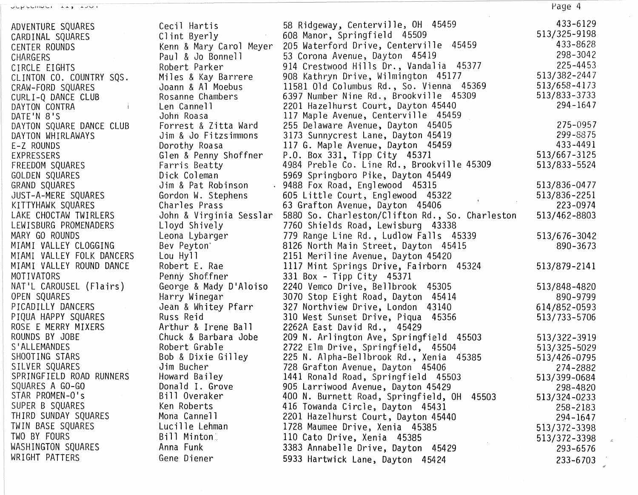| ADVENTURE SQUARES         | Cecil Hartis            | 58 Ridgeway, Centerville, OH 45459              | 433-6129     |
|---------------------------|-------------------------|-------------------------------------------------|--------------|
| CARDINAL SQUARES          | Clint Byerly            | 608 Manor, Springfield 45509                    | 513/325-9198 |
| <b>CENTER ROUNDS</b>      | Kenn & Mary Carol Meyer | 205 Waterford Drive, Centerville 45459          | 433-8628     |
| CHARGERS                  | Paul & Jo Bonnell       | 53 Corona Avenue, Dayton 45419                  | 298-3042     |
| CIRCLE EIGHTS             | Robert Parker           | 914 Crestwood Hills Dr., Vandalia 45377         | 225-4453     |
| CLINTON CO. COUNTRY SQS.  | Miles & Kay Barrere     | 908 Kathryn Drive, Wilmington 45177             | 513/382-2447 |
| CRAW-FORD SQUARES         | Joann & Al Moebus       | 11581 Old Columbus Rd., So. Vienna 45369        | 513/658-4173 |
| CURLI-Q DANCE CLUB        | Rosanne Chambers        | 6397 Number Nine Rd., Brookville 45309          | 513/833-3733 |
| DAYTON CONTRA             | Len Cannell             | 2201 Hazelhurst Court, Dayton 45440             | 294-1647     |
| DATE'N 8'S                | John Roasa              | 117 Maple Avenue, Centerville 45459             |              |
| DAYTON SQUARE DANCE CLUB  | Forrest & Zitta Ward    | 255 Delaware Avenue, Dayton 45405               | 275-0957     |
| DAYTON WHIRLAWAYS         | Jim & Jo Fitzsimmons    | 3173 Sunnycrest Lane, Dayton 45419              | 299-8875     |
| E-Z ROUNDS                | Dorothy Roasa           | 117 G. Maple Avenue, Dayton 45459               | 433-4491     |
| EXPRESSERS                | Glen & Penny Shoffner   | P.O. Box 331, Tipp City 45371                   | 513/667-3125 |
| FREEDOM SQUARES           | Farris Beatty           | 4984 Preble Co. Line Rd., Brookville 45309      | 513/833-5524 |
| GOLDEN SQUARES            | Dick Coleman            | 5969 Springboro Pike, Dayton 45449              |              |
| GRAND SQUARES             | Jim & Pat Robinson      | . 9488 Fox Road, Englewood 45315                | 513/836-0477 |
| JUST-A-MERE SQUARES       | Gordon W. Stephens      | 605 Little Court, Englewood 45322               | 513/836-2251 |
| KITTYHAWK SQUARES         | Charles Prass           | 63 Grafton Avenue, Dayton 45406                 | 223-0974     |
| LAKE CHOCTAW TWIRLERS     | John & Virginia Sesslar | 5880 So. Charleston/Clifton Rd., So. Charleston | 513/462-8803 |
| LEWISBURG PROMENADERS     | Lloyd Shively           | 7760 Shields Road, Lewisburg 43338              |              |
| MARY GO ROUNDS            | Leona Lybarger          | 779 Range Line Rd., Ludlow Falls 45339          | 513/676-3042 |
| MIAMI VALLEY CLOGGING     | Bev Peyton <sup>*</sup> | 8126 North Main Street, Dayton 45415            | 890-3673     |
| MIAMI VALLEY FOLK DANCERS | Lou Hyll                | 2151 Meriline Avenue, Dayton 45420              |              |
| MIAMI VALLEY ROUND DANCE  | Robert E. Rae           | 1117 Mint Springs Drive, Fairborn 45324         | 513/879-2141 |
| MOTIVATORS                | Penny Shoffner          | 331 Box - Tipp City 45371                       |              |
| NAT'L CAROUSEL (Flairs)   | George & Mady D'Aloiso  | 2240 Vemco Drive, Bellbrook 45305               | 513/848-4820 |
| OPEN SQUARES              | Harry Winegar           | 3070 Stop Eight Road, Dayton 45414              | 890-9799     |
| PICADILLY DANCERS         | Jean & Whitey Pfarr     | 327 Northview Drive, London 43140               | 614/852-0593 |
| PIQUA HAPPY SQUARES       | Russ Reid               | 310 West Sunset Drive, Piqua 45356              | 513/733-5706 |
| ROSE E MERRY MIXERS       | Arthur & Irene Ball     | 2262A East David Rd., 45429                     |              |
| ROUNDS BY JOBE            | Chuck & Barbara Jobe    | 209 N. Arlington Ave, Springfield 45503         | 513/322-3919 |
| S'ALLEMANDES              | Robert Grable           | 2722 Elm Drive, Springfield, 45504              | 513/325-5029 |
| SHOOTING STARS            | Bob & Dixie Gilley      | 225 N. Alpha-Bellbrook Rd., Xenia 45385         | 513/426-0795 |
| SILVER SQUARES            | Jim Bucher              | 728 Grafton Avenue, Dayton 45406                | 274-2882     |
| SPRINGFIELD ROAD RUNNERS  | Howard Bailey           | 1441 Ronald Road, Springfield 45503             | 513/399-0684 |
| SQUARES A GO-GO           | Donald I. Grove         | 905 Larriwood Avenue, Dayton 45429              | 298-4820     |
| STAR PROMEN-O's           | Bill Overaker           | 400 N. Burnett Road, Springfield, OH<br>45503   | 513/324-0233 |
| SUPER B SQUARES           | Ken Roberts             | 416 Towanda Circle, Dayton 45431                | 258-2183     |
| THIRD SUNDAY SQUARES      | Mona Cannell            | 2201 Hazelhurst Court, Dayton 45440             | 294-1647     |
| TWIN BASE SQUARES         | Lucille Lehman          | 1728 Maumee Drive, Xenia 45385                  | 513/372-3398 |
| TWO BY FOURS              | Bill Minton             | 110 Cato Drive, Xenia 45385                     | 513/372-3398 |
| WASHINGTON SQUARES        | Anna Funk               | 3383 Annabelle Drive, Dayton 45429              | 293-6576     |
| WRIGHT PATTERS            | Gene Diener             | 5933 Hartwick Lane, Dayton 45424                | $233 - 6703$ |

Page 4

 $\epsilon$ 

 $\mathcal{L}% _{A}=\mathcal{L}_{A}\times\mathcal{L}_{A}$ 

 $\epsilon$ à.

OCPOCHING LAS LOOT